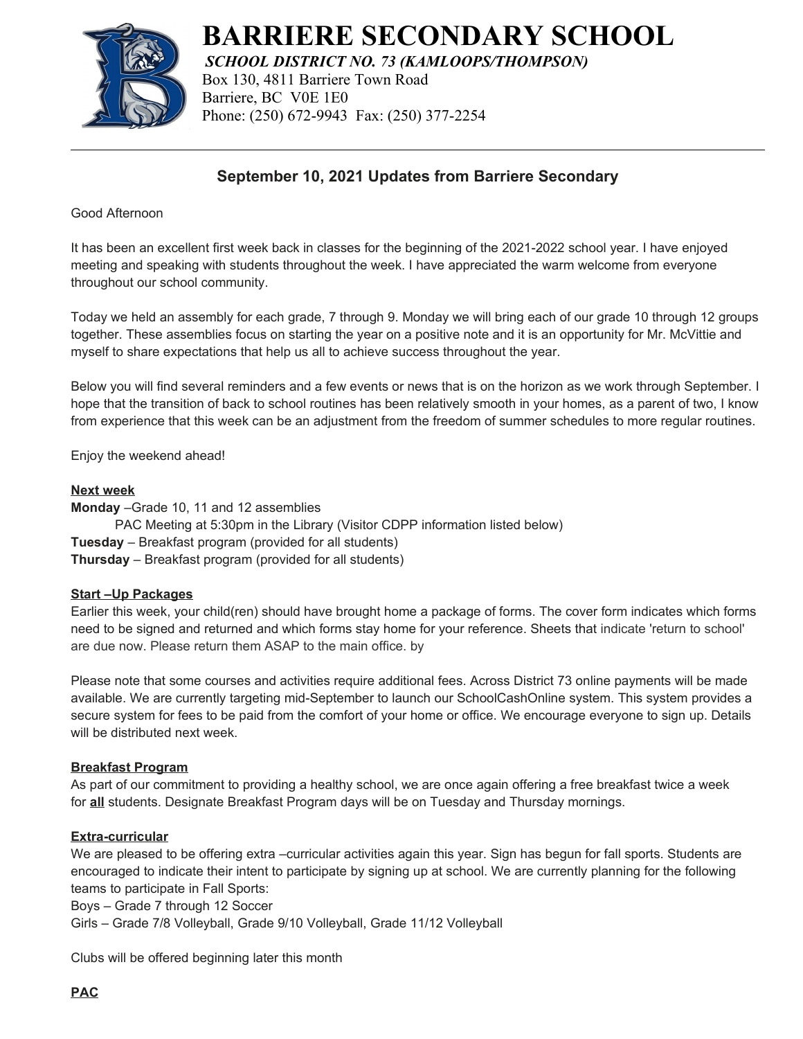

**BARRIERE SECONDARY SCHOOL**

*SCHOOL DISTRICT NO. 73 (KAMLOOPS/THOMPSON)* Box 130, 4811 Barriere Town Road Barriere, BC V0E 1E0 Phone: (250) 672-9943 Fax: (250) 377-2254

# **September 10, 2021 Updates from Barriere Secondary**

Good Afternoon

It has been an excellent first week back in classes for the beginning of the 2021-2022 school year. I have enjoyed meeting and speaking with students throughout the week. I have appreciated the warm welcome from everyone throughout our school community.

Today we held an assembly for each grade, 7 through 9. Monday we will bring each of our grade 10 through 12 groups together. These assemblies focus on starting the year on a positive note and it is an opportunity for Mr. McVittie and myself to share expectations that help us all to achieve success throughout the year.

Below you will find several reminders and a few events or news that is on the horizon as we work through September. I hope that the transition of back to school routines has been relatively smooth in your homes, as a parent of two, I know from experience that this week can be an adjustment from the freedom of summer schedules to more regular routines.

Enjoy the weekend ahead!

#### **Next week**

**Monday** –Grade 10, 11 and 12 assemblies

PAC Meeting at 5:30pm in the Library (Visitor CDPP information listed below)

**Tuesday** – Breakfast program (provided for all students)

**Thursday** – Breakfast program (provided for all students)

#### **Start –Up Packages**

Earlier this week, your child(ren) should have brought home a package of forms. The cover form indicates which forms need to be signed and returned and which forms stay home for your reference. Sheets that indicate 'return to school' are due now. Please return them ASAP to the main office. by

Please note that some courses and activities require additional fees. Across District 73 online payments will be made available. We are currently targeting mid-September to launch our SchoolCashOnline system. This system provides a secure system for fees to be paid from the comfort of your home or office. We encourage everyone to sign up. Details will be distributed next week.

#### **Breakfast Program**

As part of our commitment to providing a healthy school, we are once again offering a free breakfast twice a week for **all** students. Designate Breakfast Program days will be on Tuesday and Thursday mornings.

### **Extra-curricular**

We are pleased to be offering extra –curricular activities again this year. Sign has begun for fall sports. Students are encouraged to indicate their intent to participate by signing up at school. We are currently planning for the following teams to participate in Fall Sports:

Boys – Grade 7 through 12 Soccer

Girls – Grade 7/8 Volleyball, Grade 9/10 Volleyball, Grade 11/12 Volleyball

Clubs will be offered beginning later this month